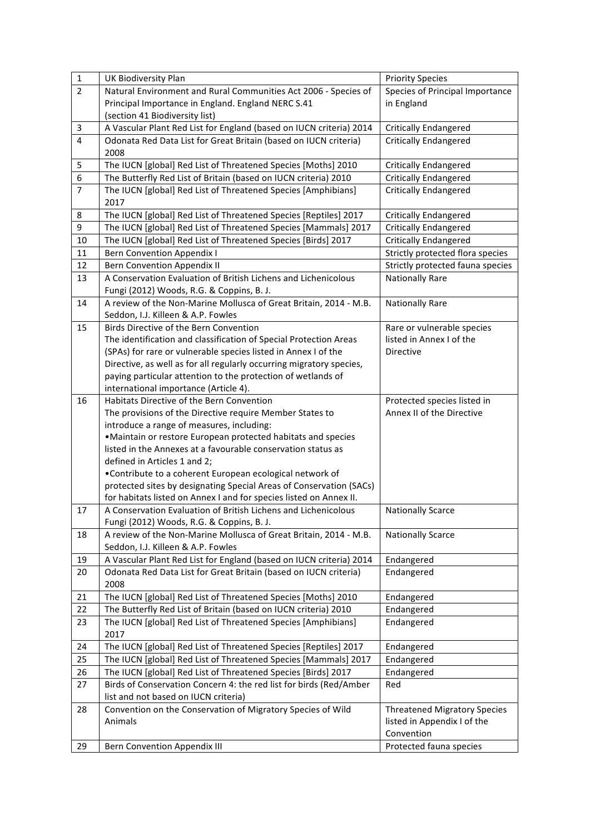| $\mathbf 1$             | <b>UK Biodiversity Plan</b>                                                                                                   | <b>Priority Species</b>             |
|-------------------------|-------------------------------------------------------------------------------------------------------------------------------|-------------------------------------|
| $\overline{2}$          | Natural Environment and Rural Communities Act 2006 - Species of                                                               | Species of Principal Importance     |
|                         | Principal Importance in England. England NERC S.41                                                                            | in England                          |
|                         | (section 41 Biodiversity list)                                                                                                |                                     |
| 3                       | A Vascular Plant Red List for England (based on IUCN criteria) 2014                                                           | <b>Critically Endangered</b>        |
| $\overline{\mathbf{4}}$ | Odonata Red Data List for Great Britain (based on IUCN criteria)                                                              | <b>Critically Endangered</b>        |
|                         | 2008                                                                                                                          |                                     |
| 5                       | The IUCN [global] Red List of Threatened Species [Moths] 2010                                                                 | <b>Critically Endangered</b>        |
| 6                       | The Butterfly Red List of Britain (based on IUCN criteria) 2010                                                               | <b>Critically Endangered</b>        |
| $\overline{7}$          | The IUCN [global] Red List of Threatened Species [Amphibians]<br>2017                                                         | <b>Critically Endangered</b>        |
| 8                       | The IUCN [global] Red List of Threatened Species [Reptiles] 2017                                                              | <b>Critically Endangered</b>        |
| 9                       | The IUCN [global] Red List of Threatened Species [Mammals] 2017                                                               | <b>Critically Endangered</b>        |
| 10                      | The IUCN [global] Red List of Threatened Species [Birds] 2017                                                                 | <b>Critically Endangered</b>        |
| 11                      | <b>Bern Convention Appendix I</b>                                                                                             | Strictly protected flora species    |
| 12                      | <b>Bern Convention Appendix II</b>                                                                                            | Strictly protected fauna species    |
| 13                      | A Conservation Evaluation of British Lichens and Lichenicolous                                                                | <b>Nationally Rare</b>              |
|                         | Fungi (2012) Woods, R.G. & Coppins, B. J.                                                                                     |                                     |
| 14                      | A review of the Non-Marine Mollusca of Great Britain, 2014 - M.B.                                                             | <b>Nationally Rare</b>              |
|                         | Seddon, I.J. Killeen & A.P. Fowles                                                                                            |                                     |
| 15                      | <b>Birds Directive of the Bern Convention</b>                                                                                 | Rare or vulnerable species          |
|                         | The identification and classification of Special Protection Areas                                                             | listed in Annex I of the            |
|                         | (SPAs) for rare or vulnerable species listed in Annex I of the                                                                | <b>Directive</b>                    |
|                         | Directive, as well as for all regularly occurring migratory species,                                                          |                                     |
|                         | paying particular attention to the protection of wetlands of                                                                  |                                     |
|                         | international importance (Article 4).                                                                                         |                                     |
| 16                      | Habitats Directive of the Bern Convention                                                                                     | Protected species listed in         |
|                         | The provisions of the Directive require Member States to                                                                      | Annex II of the Directive           |
|                         | introduce a range of measures, including:                                                                                     |                                     |
|                         | . Maintain or restore European protected habitats and species<br>listed in the Annexes at a favourable conservation status as |                                     |
|                         | defined in Articles 1 and 2;                                                                                                  |                                     |
|                         | •Contribute to a coherent European ecological network of                                                                      |                                     |
|                         | protected sites by designating Special Areas of Conservation (SACs)                                                           |                                     |
|                         | for habitats listed on Annex I and for species listed on Annex II.                                                            |                                     |
| 17                      | A Conservation Evaluation of British Lichens and Lichenicolous                                                                | <b>Nationally Scarce</b>            |
|                         | Fungi (2012) Woods, R.G. & Coppins, B. J.                                                                                     |                                     |
| 18                      | A review of the Non-Marine Mollusca of Great Britain, 2014 - M.B.                                                             | <b>Nationally Scarce</b>            |
|                         | Seddon, I.J. Killeen & A.P. Fowles                                                                                            |                                     |
| 19                      | A Vascular Plant Red List for England (based on IUCN criteria) 2014                                                           | Endangered                          |
| 20                      | Odonata Red Data List for Great Britain (based on IUCN criteria)                                                              | Endangered                          |
|                         | 2008                                                                                                                          |                                     |
| 21                      | The IUCN [global] Red List of Threatened Species [Moths] 2010                                                                 | Endangered                          |
| 22                      | The Butterfly Red List of Britain (based on IUCN criteria) 2010                                                               | Endangered                          |
| 23                      | The IUCN [global] Red List of Threatened Species [Amphibians]                                                                 | Endangered                          |
|                         | 2017                                                                                                                          |                                     |
| 24                      | The IUCN [global] Red List of Threatened Species [Reptiles] 2017                                                              | Endangered                          |
| 25                      | The IUCN [global] Red List of Threatened Species [Mammals] 2017                                                               | Endangered                          |
| 26                      | The IUCN [global] Red List of Threatened Species [Birds] 2017                                                                 | Endangered                          |
| 27                      | Birds of Conservation Concern 4: the red list for birds (Red/Amber                                                            | Red                                 |
|                         | list and not based on IUCN criteria)                                                                                          |                                     |
| 28                      | Convention on the Conservation of Migratory Species of Wild                                                                   | <b>Threatened Migratory Species</b> |
|                         | Animals                                                                                                                       | listed in Appendix I of the         |
|                         |                                                                                                                               | Convention                          |
| 29                      | <b>Bern Convention Appendix III</b>                                                                                           | Protected fauna species             |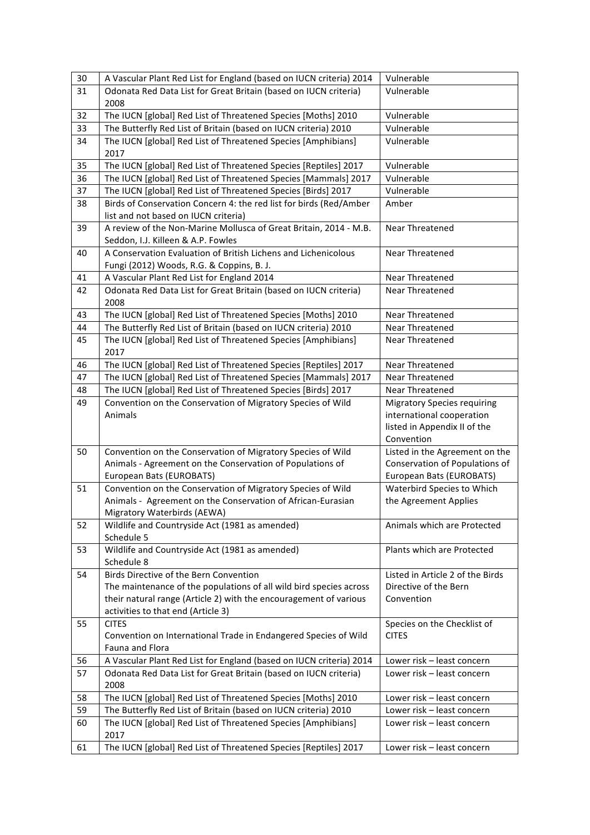| 30 | A Vascular Plant Red List for England (based on IUCN criteria) 2014                                         | Vulnerable                                                |
|----|-------------------------------------------------------------------------------------------------------------|-----------------------------------------------------------|
| 31 | Odonata Red Data List for Great Britain (based on IUCN criteria)                                            | Vulnerable                                                |
|    | 2008                                                                                                        |                                                           |
| 32 | The IUCN [global] Red List of Threatened Species [Moths] 2010                                               | Vulnerable                                                |
| 33 | The Butterfly Red List of Britain (based on IUCN criteria) 2010                                             | Vulnerable                                                |
| 34 | The IUCN [global] Red List of Threatened Species [Amphibians]<br>2017                                       | Vulnerable                                                |
| 35 | The IUCN [global] Red List of Threatened Species [Reptiles] 2017                                            | Vulnerable                                                |
| 36 | The IUCN [global] Red List of Threatened Species [Mammals] 2017                                             | Vulnerable                                                |
| 37 | The IUCN [global] Red List of Threatened Species [Birds] 2017                                               | Vulnerable                                                |
| 38 | Birds of Conservation Concern 4: the red list for birds (Red/Amber<br>list and not based on IUCN criteria)  | Amber                                                     |
| 39 | A review of the Non-Marine Mollusca of Great Britain, 2014 - M.B.<br>Seddon, I.J. Killeen & A.P. Fowles     | Near Threatened                                           |
| 40 | A Conservation Evaluation of British Lichens and Lichenicolous<br>Fungi (2012) Woods, R.G. & Coppins, B. J. | Near Threatened                                           |
| 41 | A Vascular Plant Red List for England 2014                                                                  | <b>Near Threatened</b>                                    |
| 42 | Odonata Red Data List for Great Britain (based on IUCN criteria)<br>2008                                    | Near Threatened                                           |
| 43 | The IUCN [global] Red List of Threatened Species [Moths] 2010                                               | Near Threatened                                           |
| 44 | The Butterfly Red List of Britain (based on IUCN criteria) 2010                                             | Near Threatened                                           |
| 45 | The IUCN [global] Red List of Threatened Species [Amphibians]<br>2017                                       | Near Threatened                                           |
| 46 | The IUCN [global] Red List of Threatened Species [Reptiles] 2017                                            | Near Threatened                                           |
| 47 | The IUCN [global] Red List of Threatened Species [Mammals] 2017                                             | <b>Near Threatened</b>                                    |
| 48 | The IUCN [global] Red List of Threatened Species [Birds] 2017                                               | <b>Near Threatened</b>                                    |
| 49 | Convention on the Conservation of Migratory Species of Wild                                                 | <b>Migratory Species requiring</b>                        |
|    | Animals                                                                                                     | international cooperation                                 |
|    |                                                                                                             | listed in Appendix II of the                              |
|    |                                                                                                             | Convention                                                |
| 50 | Convention on the Conservation of Migratory Species of Wild                                                 | Listed in the Agreement on the                            |
|    | Animals - Agreement on the Conservation of Populations of                                                   | Conservation of Populations of                            |
|    | European Bats (EUROBATS)                                                                                    | European Bats (EUROBATS)                                  |
| 51 | Convention on the Conservation of Migratory Species of Wild                                                 | Waterbird Species to Which                                |
|    | Animals - Agreement on the Conservation of African-Eurasian                                                 | the Agreement Applies                                     |
|    | Migratory Waterbirds (AEWA)                                                                                 |                                                           |
| 52 | Wildlife and Countryside Act (1981 as amended)                                                              | Animals which are Protected                               |
|    | Schedule 5                                                                                                  |                                                           |
| 53 | Wildlife and Countryside Act (1981 as amended)                                                              | Plants which are Protected                                |
|    | Schedule 8<br>Birds Directive of the Bern Convention                                                        |                                                           |
| 54 | The maintenance of the populations of all wild bird species across                                          | Listed in Article 2 of the Birds<br>Directive of the Bern |
|    | their natural range (Article 2) with the encouragement of various                                           | Convention                                                |
|    | activities to that end (Article 3)                                                                          |                                                           |
| 55 | <b>CITES</b>                                                                                                | Species on the Checklist of                               |
|    | Convention on International Trade in Endangered Species of Wild                                             | <b>CITES</b>                                              |
|    | <b>Fauna and Flora</b>                                                                                      |                                                           |
| 56 | A Vascular Plant Red List for England (based on IUCN criteria) 2014                                         | Lower risk - least concern                                |
| 57 | Odonata Red Data List for Great Britain (based on IUCN criteria)                                            | Lower risk - least concern                                |
|    | 2008                                                                                                        |                                                           |
| 58 | The IUCN [global] Red List of Threatened Species [Moths] 2010                                               | Lower risk - least concern                                |
| 59 | The Butterfly Red List of Britain (based on IUCN criteria) 2010                                             | Lower risk - least concern                                |
| 60 | The IUCN [global] Red List of Threatened Species [Amphibians]                                               | Lower risk - least concern                                |
|    | 2017                                                                                                        |                                                           |
| 61 | The IUCN [global] Red List of Threatened Species [Reptiles] 2017                                            | Lower risk - least concern                                |